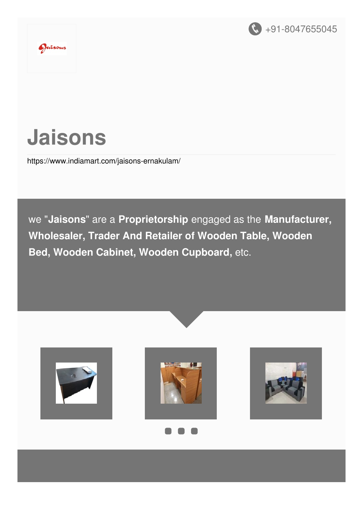



Jaisons

<https://www.indiamart.com/jaisons-ernakulam/>

we "**Jaisons**" are a **Proprietorship** engaged as the **Manufacturer, Wholesaler, Trader And Retailer of Wooden Table, Wooden Bed, Wooden Cabinet, Wooden Cupboard,** etc.







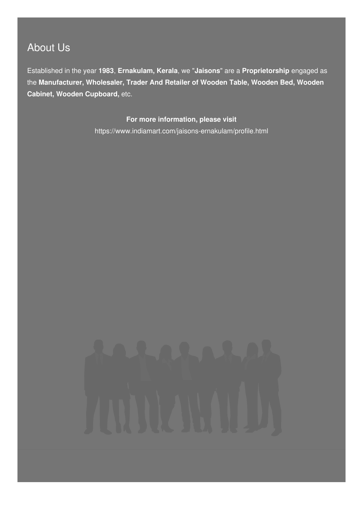## About Us

Established in the year **1983**, **Ernakulam, Kerala**, we "**Jaisons**" are a **Proprietorship** engaged as the **Manufacturer, Wholesaler, Trader And Retailer of Wooden Table, Wooden Bed, Wooden Cabinet, Wooden Cupboard,** etc.

> **For more information, please visit** <https://www.indiamart.com/jaisons-ernakulam/profile.html>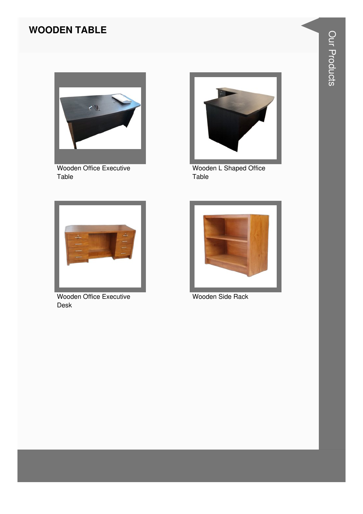#### **WOODEN TABLE**



Wooden Office Executive Table



Wooden L Shaped Office Table



Wooden Office Executive Desk



Wooden Side Rack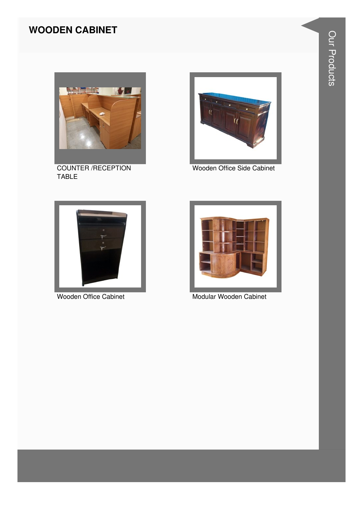#### **WOODEN CABINET**



COUNTER /RECEPTION TABLE



Wooden Office Side Cabinet





Wooden Office Cabinet Modular Wooden Cabinet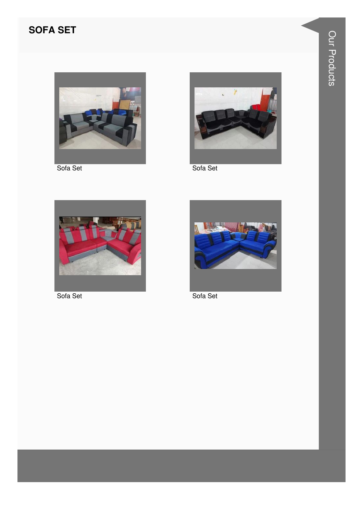#### **SOFA SET**



Sofa Set



Sofa Set



Sofa Set



Sofa Set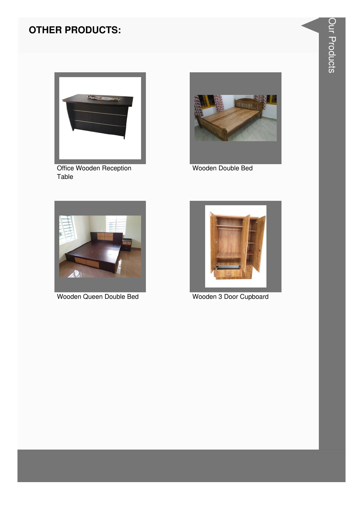

Office Wooden Reception Table



Wooden Double Bed



Wooden Queen Double Bed



Wooden 3 Door Cupboard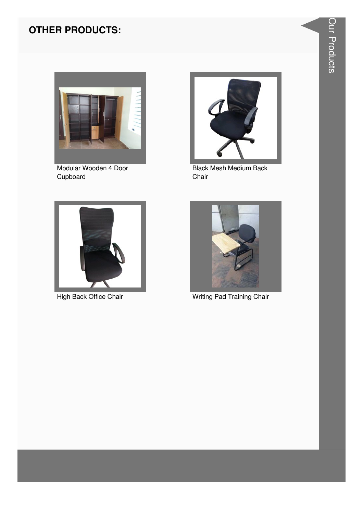

Modular Wooden 4 Door Cupboard



**Black Mesh Medium Back** Chair



High Back Office Chair



**Writing Pad Training Chair**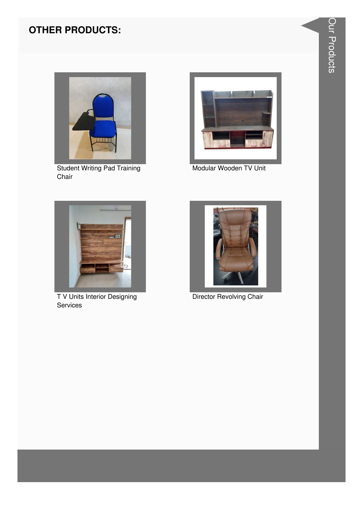

Student Writing Pad Training Chair



Modular Wooden TV Unit



T V Units Interior Designing Services



Director Revolving Chair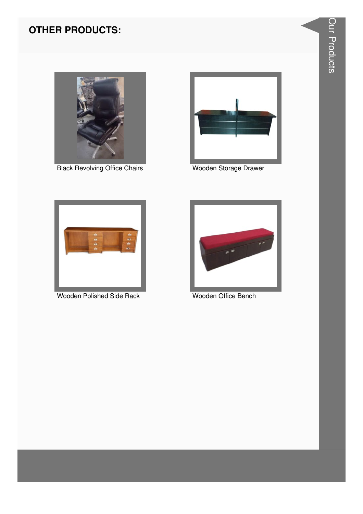

**Black Revolving Office Chairs** 



Wooden Storage Drawer



**Wooden Polished Side Rack** 



Wooden Office Bench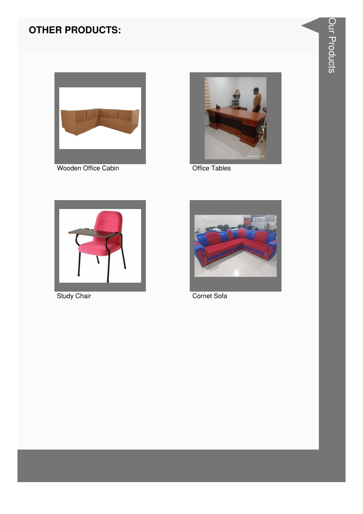

Wooden Office Cabin



**Office Tables** 



**Study Chair** 



Cornet Sofa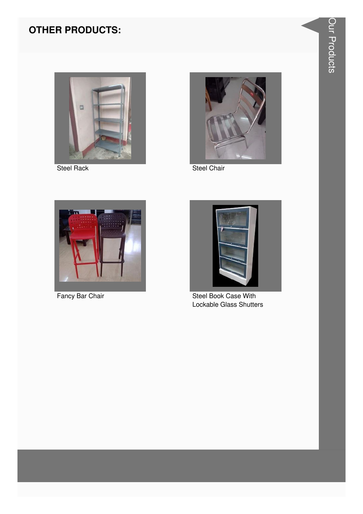

**Steel Rack** 



Steel Chair



Fancy Bar Chair



**Steel Book Case With** Lockable Glass Shutters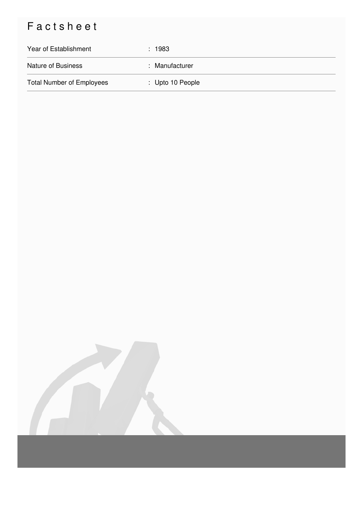# Factsheet

| Year of Establishment            | : 1983                      |
|----------------------------------|-----------------------------|
| <b>Nature of Business</b>        | : Manufacturer              |
| <b>Total Number of Employees</b> | $\therefore$ Upto 10 People |